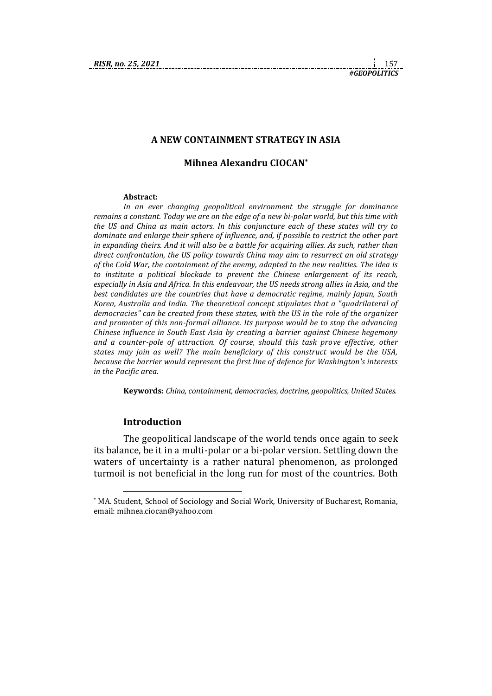#### **A NEW CONTAINMENT STRATEGY IN ASIA**

## **Mihnea Alexandru CIOCAN\***

#### **Abstract:**

*In an ever changing geopolitical environment the struggle for dominance remains a constant. Today we are on the edge of a new bi-polar world, but this time with the US and China as main actors. In this conjuncture each of these states will try to dominate and enlarge their sphere of influence, and, if possible to restrict the other part in expanding theirs. And it will also be a battle for acquiring allies. As such, rather than direct confrontation, the US policy towards China may aim to resurrect an old strategy of the Cold War, the containment of the enemy, adapted to the new realities. The idea is to institute a political blockade to prevent the Chinese enlargement of its reach, especially in Asia and Africa. In this endeavour, the US needs strong allies in Asia, and the best candidates are the countries that have a democratic regime, mainly Japan, South Korea, Australia and India. The theoretical concept stipulates that a "quadrilateral of democracies" can be created from these states, with the US in the role of the organizer and promoter of this non-formal alliance. Its purpose would be to stop the advancing Chinese influence in South East Asia by creating a barrier against Chinese hegemony and a counter-pole of attraction. Of course, should this task prove effective, other states may join as well? The main beneficiary of this construct would be the USA, because the barrier would represent the first line of defence for Washington's interests in the Pacific area.*

**Keywords:** *China, containment, democracies, doctrine, geopolitics, United States.*

## **Introduction**

1

The geopolitical landscape of the world tends once again to seek its balance, be it in a multi-polar or a bi-polar version. Settling down the waters of uncertainty is a rather natural phenomenon, as prolonged turmoil is not beneficial in the long run for most of the countries. Both

<sup>\*</sup> MA. Student, School of Sociology and Social Work, University of Bucharest, Romania, email: mihnea.ciocan@yahoo.com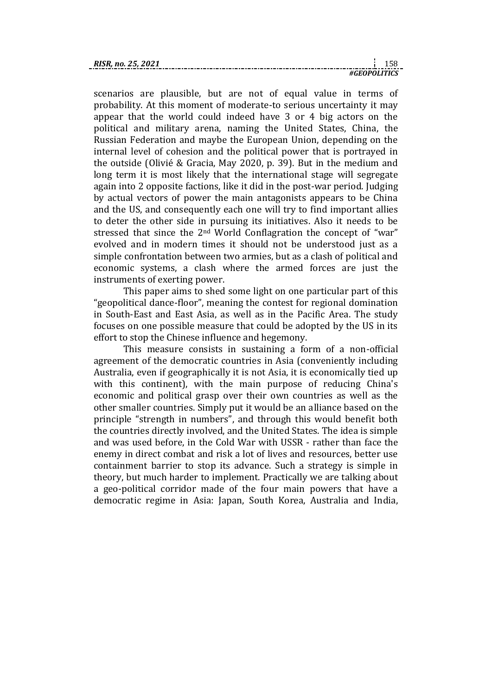scenarios are plausible, but are not of equal value in terms of probability. At this moment of moderate-to serious uncertainty it may appear that the world could indeed have 3 or 4 big actors on the political and military arena, naming the United States, China, the Russian Federation and maybe the European Union, depending on the internal level of cohesion and the political power that is portrayed in the outside (Olivié & Gracia, May 2020, p. 39). But in the medium and long term it is most likely that the international stage will segregate again into 2 opposite factions, like it did in the post-war period. Judging by actual vectors of power the main antagonists appears to be China and the US, and consequently each one will try to find important allies to deter the other side in pursuing its initiatives. Also it needs to be stressed that since the 2nd World Conflagration the concept of "war" evolved and in modern times it should not be understood just as a simple confrontation between two armies, but as a clash of political and economic systems, a clash where the armed forces are just the instruments of exerting power.

This paper aims to shed some light on one particular part of this "geopolitical dance-floor", meaning the contest for regional domination in South-East and East Asia, as well as in the Pacific Area. The study focuses on one possible measure that could be adopted by the US in its effort to stop the Chinese influence and hegemony.

This measure consists in sustaining a form of a non-official agreement of the democratic countries in Asia (conveniently including Australia, even if geographically it is not Asia, it is economically tied up with this continent), with the main purpose of reducing China's economic and political grasp over their own countries as well as the other smaller countries. Simply put it would be an alliance based on the principle "strength in numbers", and through this would benefit both the countries directly involved, and the United States. The idea is simple and was used before, in the Cold War with USSR - rather than face the enemy in direct combat and risk a lot of lives and resources, better use containment barrier to stop its advance. Such a strategy is simple in theory, but much harder to implement. Practically we are talking about a geo-political corridor made of the four main powers that have a democratic regime in Asia: Japan, South Korea, Australia and India,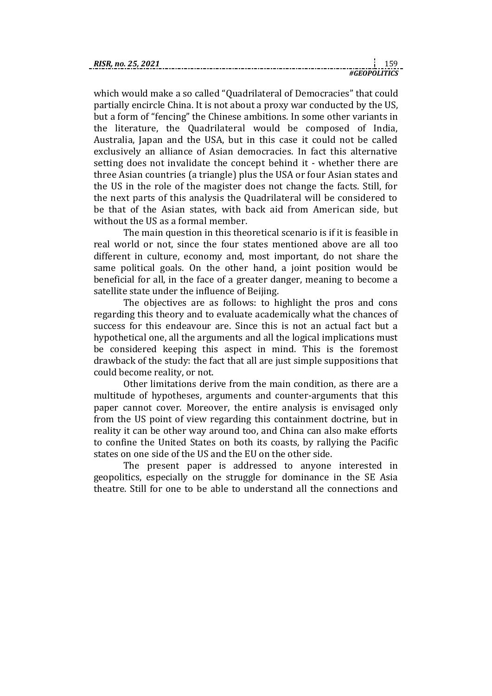which would make a so called "Quadrilateral of Democracies" that could partially encircle China. It is not about a proxy war conducted by the US, but a form of "fencing" the Chinese ambitions. In some other variants in the literature, the Quadrilateral would be composed of India, Australia, Japan and the USA, but in this case it could not be called exclusively an alliance of Asian democracies. In fact this alternative setting does not invalidate the concept behind it - whether there are three Asian countries (a triangle) plus the USA or four Asian states and the US in the role of the magister does not change the facts. Still, for the next parts of this analysis the Quadrilateral will be considered to be that of the Asian states, with back aid from American side, but without the US as a formal member.

The main question in this theoretical scenario is if it is feasible in real world or not, since the four states mentioned above are all too different in culture, economy and, most important, do not share the same political goals. On the other hand, a joint position would be beneficial for all, in the face of a greater danger, meaning to become a satellite state under the influence of Beijing.

The objectives are as follows: to highlight the pros and cons regarding this theory and to evaluate academically what the chances of success for this endeavour are. Since this is not an actual fact but a hypothetical one, all the arguments and all the logical implications must be considered keeping this aspect in mind. This is the foremost drawback of the study: the fact that all are just simple suppositions that could become reality, or not.

Other limitations derive from the main condition, as there are a multitude of hypotheses, arguments and counter-arguments that this paper cannot cover. Moreover, the entire analysis is envisaged only from the US point of view regarding this containment doctrine, but in reality it can be other way around too, and China can also make efforts to confine the United States on both its coasts, by rallying the Pacific states on one side of the US and the EU on the other side.

The present paper is addressed to anyone interested in geopolitics, especially on the struggle for dominance in the SE Asia theatre. Still for one to be able to understand all the connections and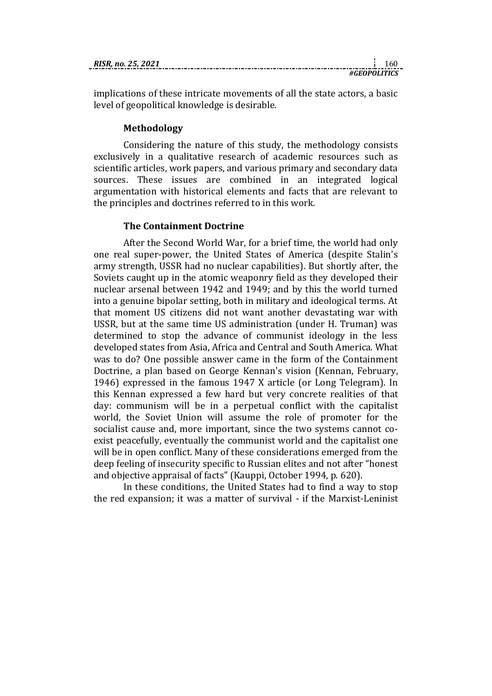| RISR. no. 25, 2021 |  |
|--------------------|--|
|                    |  |

implications of these intricate movements of all the state actors, a basic level of geopolitical knowledge is desirable.

# **Methodology**

Considering the nature of this study, the methodology consists exclusively in a qualitative research of academic resources such as scientific articles, work papers, and various primary and secondary data sources. These issues are combined in an integrated logical argumentation with historical elements and facts that are relevant to the principles and doctrines referred to in this work.

# **The Containment Doctrine**

After the Second World War, for a brief time, the world had only one real super-power, the United States of America (despite Stalin's army strength, USSR had no nuclear capabilities). But shortly after, the Soviets caught up in the atomic weaponry field as they developed their nuclear arsenal between 1942 and 1949; and by this the world turned into a genuine bipolar setting, both in military and ideological terms. At that moment US citizens did not want another devastating war with USSR, but at the same time US administration (under H. Truman) was determined to stop the advance of communist ideology in the less developed states from Asia, Africa and Central and South America. What was to do? One possible answer came in the form of the Containment Doctrine, a plan based on George Kennan's vision (Kennan, February, 1946) expressed in the famous 1947 X article (or Long Telegram). In this Kennan expressed a few hard but very concrete realities of that day: communism will be in a perpetual conflict with the capitalist world, the Soviet Union will assume the role of promoter for the socialist cause and, more important, since the two systems cannot coexist peacefully, eventually the communist world and the capitalist one will be in open conflict. Many of these considerations emerged from the deep feeling of insecurity specific to Russian elites and not after "honest and objective appraisal of facts" (Kauppi, October 1994, p. 620).

In these conditions, the United States had to find a way to stop the red expansion; it was a matter of survival - if the Marxist-Leninist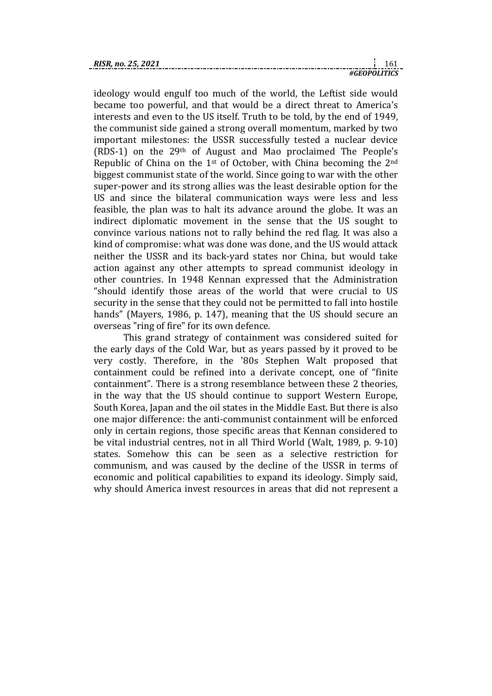ideology would engulf too much of the world, the Leftist side would became too powerful, and that would be a direct threat to America's interests and even to the US itself. Truth to be told, by the end of 1949, the communist side gained a strong overall momentum, marked by two important milestones: the USSR successfully tested a nuclear device (RDS-1) on the 29th of August and Mao proclaimed The People's Republic of China on the 1st of October, with China becoming the 2nd biggest communist state of the world. Since going to war with the other super-power and its strong allies was the least desirable option for the US and since the bilateral communication ways were less and less feasible, the plan was to halt its advance around the globe. It was an indirect diplomatic movement in the sense that the US sought to convince various nations not to rally behind the red flag. It was also a kind of compromise: what was done was done, and the US would attack neither the USSR and its back-yard states nor China, but would take action against any other attempts to spread communist ideology in other countries. In 1948 Kennan expressed that the Administration "should identify those areas of the world that were crucial to US security in the sense that they could not be permitted to fall into hostile hands" (Mayers, 1986, p. 147), meaning that the US should secure an overseas "ring of fire" for its own defence.

This grand strategy of containment was considered suited for the early days of the Cold War, but as years passed by it proved to be very costly. Therefore, in the '80s Stephen Walt proposed that containment could be refined into a derivate concept, one of "finite containment". There is a strong resemblance between these 2 theories, in the way that the US should continue to support Western Europe, South Korea, Japan and the oil states in the Middle East. But there is also one major difference: the anti-communist containment will be enforced only in certain regions, those specific areas that Kennan considered to be vital industrial centres, not in all Third World (Walt, 1989, p. 9-10) states. Somehow this can be seen as a selective restriction for communism, and was caused by the decline of the USSR in terms of economic and political capabilities to expand its ideology. Simply said, why should America invest resources in areas that did not represent a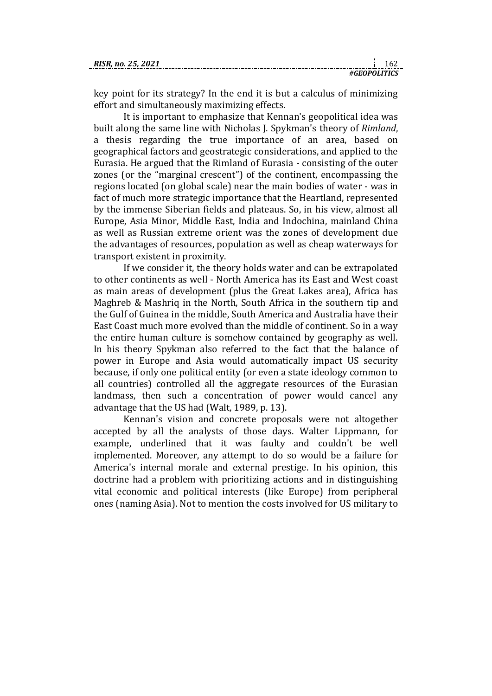key point for its strategy? In the end it is but a calculus of minimizing effort and simultaneously maximizing effects.

It is important to emphasize that Kennan's geopolitical idea was built along the same line with Nicholas J. Spykman's theory of *Rimland*, a thesis regarding the true importance of an area, based on geographical factors and geostrategic considerations, and applied to the Eurasia. He argued that the Rimland of Eurasia - consisting of the outer zones (or the "marginal crescent") of the continent, encompassing the regions located (on global scale) near the main bodies of water - was in fact of much more strategic importance that the Heartland, represented by the immense Siberian fields and plateaus. So, in his view, almost all Europe, Asia Minor, Middle East, India and Indochina, mainland China as well as Russian extreme orient was the zones of development due the advantages of resources, population as well as cheap waterways for transport existent in proximity.

If we consider it, the theory holds water and can be extrapolated to other continents as well - North America has its East and West coast as main areas of development (plus the Great Lakes area), Africa has Maghreb & Mashriq in the North, South Africa in the southern tip and the Gulf of Guinea in the middle, South America and Australia have their East Coast much more evolved than the middle of continent. So in a way the entire human culture is somehow contained by geography as well. In his theory Spykman also referred to the fact that the balance of power in Europe and Asia would automatically impact US security because, if only one political entity (or even a state ideology common to all countries) controlled all the aggregate resources of the Eurasian landmass, then such a concentration of power would cancel any advantage that the US had (Walt, 1989, p. 13).

Kennan's vision and concrete proposals were not altogether accepted by all the analysts of those days. Walter Lippmann, for example, underlined that it was faulty and couldn't be well implemented. Moreover, any attempt to do so would be a failure for America's internal morale and external prestige. In his opinion, this doctrine had a problem with prioritizing actions and in distinguishing vital economic and political interests (like Europe) from peripheral ones (naming Asia). Not to mention the costs involved for US military to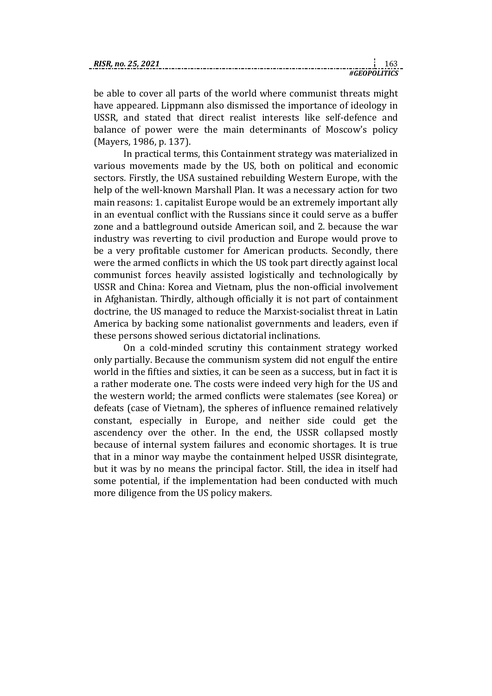be able to cover all parts of the world where communist threats might have appeared. Lippmann also dismissed the importance of ideology in USSR, and stated that direct realist interests like self-defence and balance of power were the main determinants of Moscow's policy (Mayers, 1986, p. 137).

In practical terms, this Containment strategy was materialized in various movements made by the US, both on political and economic sectors. Firstly, the USA sustained rebuilding Western Europe, with the help of the well-known Marshall Plan. It was a necessary action for two main reasons: 1. capitalist Europe would be an extremely important ally in an eventual conflict with the Russians since it could serve as a buffer zone and a battleground outside American soil, and 2. because the war industry was reverting to civil production and Europe would prove to be a very profitable customer for American products. Secondly, there were the armed conflicts in which the US took part directly against local communist forces heavily assisted logistically and technologically by USSR and China: Korea and Vietnam, plus the non-official involvement in Afghanistan. Thirdly, although officially it is not part of containment doctrine, the US managed to reduce the Marxist-socialist threat in Latin America by backing some nationalist governments and leaders, even if these persons showed serious dictatorial inclinations.

On a cold-minded scrutiny this containment strategy worked only partially. Because the communism system did not engulf the entire world in the fifties and sixties, it can be seen as a success, but in fact it is a rather moderate one. The costs were indeed very high for the US and the western world; the armed conflicts were stalemates (see Korea) or defeats (case of Vietnam), the spheres of influence remained relatively constant, especially in Europe, and neither side could get the ascendency over the other. In the end, the USSR collapsed mostly because of internal system failures and economic shortages. It is true that in a minor way maybe the containment helped USSR disintegrate, but it was by no means the principal factor. Still, the idea in itself had some potential, if the implementation had been conducted with much more diligence from the US policy makers.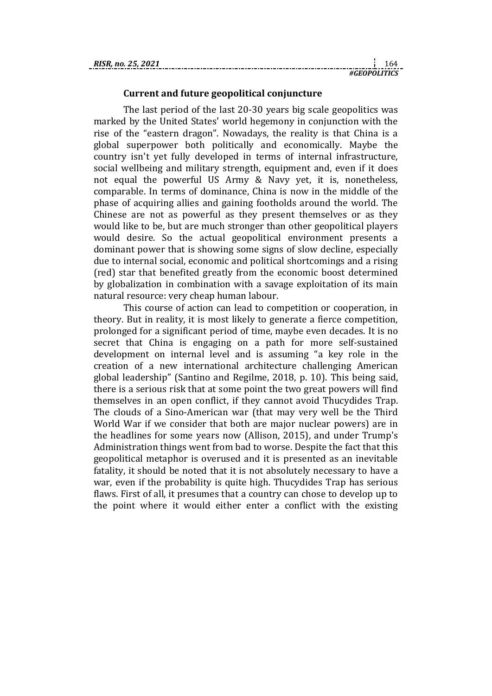# **Current and future geopolitical conjuncture**

The last period of the last 20-30 years big scale geopolitics was marked by the United States' world hegemony in conjunction with the rise of the "eastern dragon". Nowadays, the reality is that China is a global superpower both politically and economically. Maybe the country isn't yet fully developed in terms of internal infrastructure, social wellbeing and military strength, equipment and, even if it does not equal the powerful US Army & Navy yet, it is, nonetheless, comparable. In terms of dominance, China is now in the middle of the phase of acquiring allies and gaining footholds around the world. The Chinese are not as powerful as they present themselves or as they would like to be, but are much stronger than other geopolitical players would desire. So the actual geopolitical environment presents a dominant power that is showing some signs of slow decline, especially due to internal social, economic and political shortcomings and a rising (red) star that benefited greatly from the economic boost determined by globalization in combination with a savage exploitation of its main natural resource: very cheap human labour.

This course of action can lead to competition or cooperation, in theory. But in reality, it is most likely to generate a fierce competition, prolonged for a significant period of time, maybe even decades. It is no secret that China is engaging on a path for more self-sustained development on internal level and is assuming "a key role in the creation of a new international architecture challenging American global leadership" (Santino and Regilme, 2018, p. 10). This being said, there is a serious risk that at some point the two great powers will find themselves in an open conflict, if they cannot avoid Thucydides Trap. The clouds of a Sino-American war (that may very well be the Third World War if we consider that both are major nuclear powers) are in the headlines for some years now (Allison, 2015), and under Trump's Administration things went from bad to worse. Despite the fact that this geopolitical metaphor is overused and it is presented as an inevitable fatality, it should be noted that it is not absolutely necessary to have a war, even if the probability is quite high. Thucydides Trap has serious flaws. First of all, it presumes that a country can chose to develop up to the point where it would either enter a conflict with the existing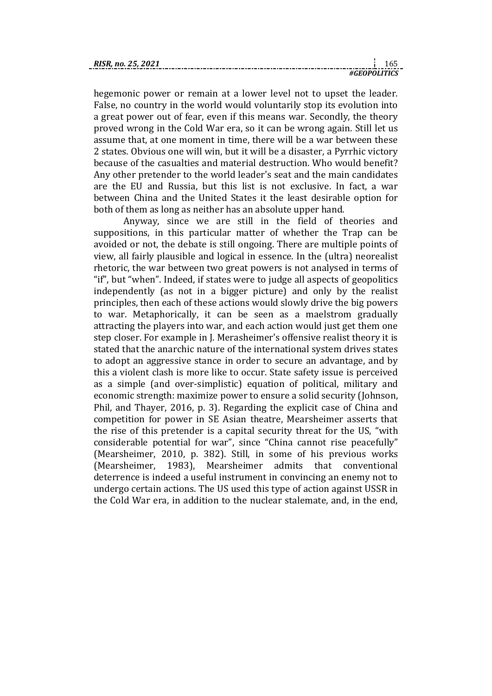hegemonic power or remain at a lower level not to upset the leader. False, no country in the world would voluntarily stop its evolution into a great power out of fear, even if this means war. Secondly, the theory proved wrong in the Cold War era, so it can be wrong again. Still let us assume that, at one moment in time, there will be a war between these 2 states. Obvious one will win, but it will be a disaster, a Pyrrhic victory because of the casualties and material destruction. Who would benefit? Any other pretender to the world leader's seat and the main candidates are the EU and Russia, but this list is not exclusive. In fact, a war between China and the United States it the least desirable option for both of them as long as neither has an absolute upper hand.

Anyway, since we are still in the field of theories and suppositions, in this particular matter of whether the Trap can be avoided or not, the debate is still ongoing. There are multiple points of view, all fairly plausible and logical in essence. In the (ultra) neorealist rhetoric, the war between two great powers is not analysed in terms of "if", but "when". Indeed, if states were to judge all aspects of geopolitics independently (as not in a bigger picture) and only by the realist principles, then each of these actions would slowly drive the big powers to war. Metaphorically, it can be seen as a maelstrom gradually attracting the players into war, and each action would just get them one step closer. For example in J. Merasheimer's offensive realist theory it is stated that the anarchic nature of the international system drives states to adopt an aggressive stance in order to secure an advantage, and by this a violent clash is more like to occur. State safety issue is perceived as a simple (and over-simplistic) equation of political, military and economic strength: maximize power to ensure a solid security (Johnson, Phil, and Thayer, 2016, p. 3). Regarding the explicit case of China and competition for power in SE Asian theatre, Mearsheimer asserts that the rise of this pretender is a capital security threat for the US, "with considerable potential for war", since "China cannot rise peacefully" (Mearsheimer, 2010, p. 382). Still, in some of his previous works (Mearsheimer, 1983), Mearsheimer admits that conventional deterrence is indeed a useful instrument in convincing an enemy not to undergo certain actions. The US used this type of action against USSR in the Cold War era, in addition to the nuclear stalemate, and, in the end,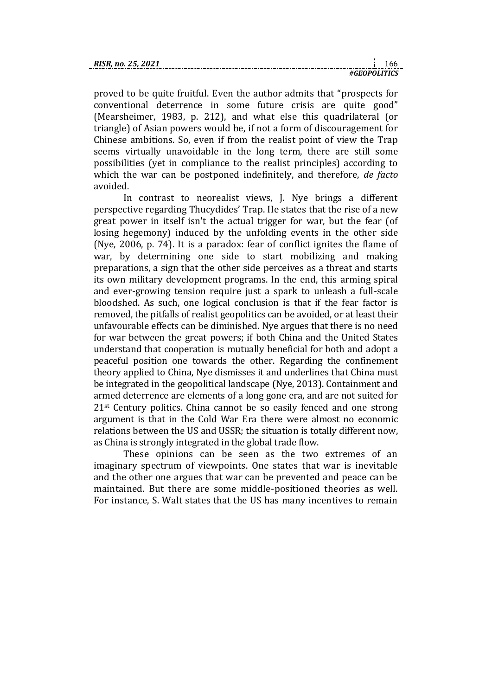proved to be quite fruitful. Even the author admits that "prospects for conventional deterrence in some future crisis are quite good" (Mearsheimer, 1983, p. 212), and what else this quadrilateral (or triangle) of Asian powers would be, if not a form of discouragement for Chinese ambitions. So, even if from the realist point of view the Trap seems virtually unavoidable in the long term, there are still some possibilities (yet in compliance to the realist principles) according to which the war can be postponed indefinitely, and therefore, *de facto* avoided.

In contrast to neorealist views, J. Nye brings a different perspective regarding Thucydides' Trap. He states that the rise of a new great power in itself isn't the actual trigger for war, but the fear (of losing hegemony) induced by the unfolding events in the other side (Nye, 2006, p. 74). It is a paradox: fear of conflict ignites the flame of war, by determining one side to start mobilizing and making preparations, a sign that the other side perceives as a threat and starts its own military development programs. In the end, this arming spiral and ever-growing tension require just a spark to unleash a full-scale bloodshed. As such, one logical conclusion is that if the fear factor is removed, the pitfalls of realist geopolitics can be avoided, or at least their unfavourable effects can be diminished. Nye argues that there is no need for war between the great powers; if both China and the United States understand that cooperation is mutually beneficial for both and adopt a peaceful position one towards the other. Regarding the confinement theory applied to China, Nye dismisses it and underlines that China must be integrated in the geopolitical landscape (Nye, 2013). Containment and armed deterrence are elements of a long gone era, and are not suited for 21<sup>st</sup> Century politics. China cannot be so easily fenced and one strong argument is that in the Cold War Era there were almost no economic relations between the US and USSR; the situation is totally different now, as China is strongly integrated in the global trade flow.

These opinions can be seen as the two extremes of an imaginary spectrum of viewpoints. One states that war is inevitable and the other one argues that war can be prevented and peace can be maintained. But there are some middle-positioned theories as well. For instance, S. Walt states that the US has many incentives to remain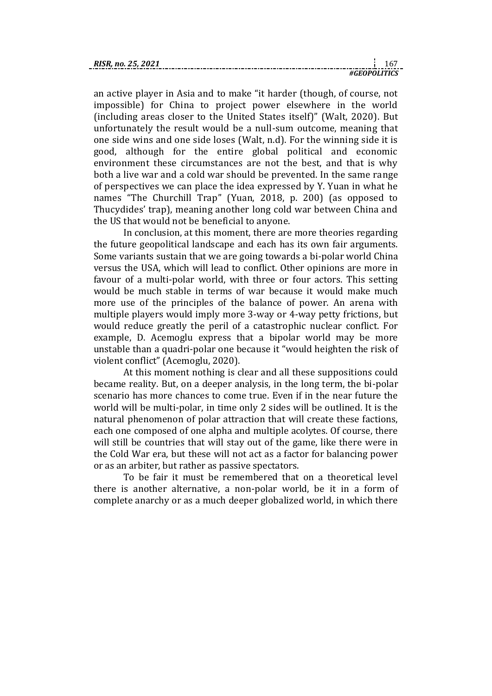an active player in Asia and to make "it harder (though, of course, not impossible) for China to project power elsewhere in the world (including areas closer to the United States itself)" (Walt, 2020). But unfortunately the result would be a null-sum outcome, meaning that one side wins and one side loses (Walt, n.d). For the winning side it is good, although for the entire global political and economic environment these circumstances are not the best, and that is why both a live war and a cold war should be prevented. In the same range of perspectives we can place the idea expressed by Y. Yuan in what he names "The Churchill Trap" (Yuan, 2018, p. 200) (as opposed to Thucydides' trap), meaning another long cold war between China and the US that would not be beneficial to anyone.

In conclusion, at this moment, there are more theories regarding the future geopolitical landscape and each has its own fair arguments. Some variants sustain that we are going towards a bi-polar world China versus the USA, which will lead to conflict. Other opinions are more in favour of a multi-polar world, with three or four actors. This setting would be much stable in terms of war because it would make much more use of the principles of the balance of power. An arena with multiple players would imply more 3-way or 4-way petty frictions, but would reduce greatly the peril of a catastrophic nuclear conflict. For example, D. Acemoglu express that a bipolar world may be more unstable than a quadri-polar one because it "would heighten the risk of violent conflict" (Acemoglu, 2020).

At this moment nothing is clear and all these suppositions could became reality. But, on a deeper analysis, in the long term, the bi-polar scenario has more chances to come true. Even if in the near future the world will be multi-polar, in time only 2 sides will be outlined. It is the natural phenomenon of polar attraction that will create these factions, each one composed of one alpha and multiple acolytes. Of course, there will still be countries that will stay out of the game, like there were in the Cold War era, but these will not act as a factor for balancing power or as an arbiter, but rather as passive spectators.

To be fair it must be remembered that on a theoretical level there is another alternative, a non-polar world, be it in a form of complete anarchy or as a much deeper globalized world, in which there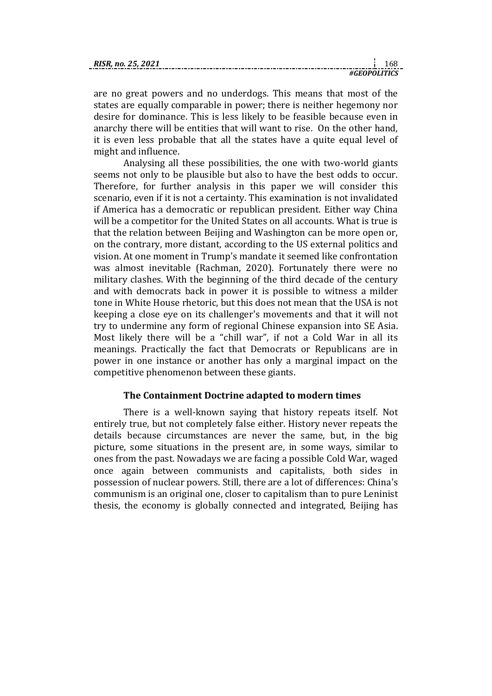| .GEOPOLITICS                  |  |
|-------------------------------|--|
| <b>RIS</b><br>?. no. 25. 2021 |  |

are no great powers and no underdogs. This means that most of the states are equally comparable in power; there is neither hegemony nor desire for dominance. This is less likely to be feasible because even in anarchy there will be entities that will want to rise. On the other hand, it is even less probable that all the states have a quite equal level of might and influence.

Analysing all these possibilities, the one with two-world giants seems not only to be plausible but also to have the best odds to occur. Therefore, for further analysis in this paper we will consider this scenario, even if it is not a certainty. This examination is not invalidated if America has a democratic or republican president. Either way China will be a competitor for the United States on all accounts. What is true is that the relation between Beijing and Washington can be more open or, on the contrary, more distant, according to the US external politics and vision. At one moment in Trump's mandate it seemed like confrontation was almost inevitable (Rachman, 2020). Fortunately there were no military clashes. With the beginning of the third decade of the century and with democrats back in power it is possible to witness a milder tone in White House rhetoric, but this does not mean that the USA is not keeping a close eye on its challenger's movements and that it will not try to undermine any form of regional Chinese expansion into SE Asia. Most likely there will be a "chill war", if not a Cold War in all its meanings. Practically the fact that Democrats or Republicans are in power in one instance or another has only a marginal impact on the competitive phenomenon between these giants.

# **The Containment Doctrine adapted to modern times**

There is a well-known saying that history repeats itself. Not entirely true, but not completely false either. History never repeats the details because circumstances are never the same, but, in the big picture, some situations in the present are, in some ways, similar to ones from the past. Nowadays we are facing a possible Cold War, waged once again between communists and capitalists, both sides in possession of nuclear powers. Still, there are a lot of differences: China's communism is an original one, closer to capitalism than to pure Leninist thesis, the economy is globally connected and integrated, Beijing has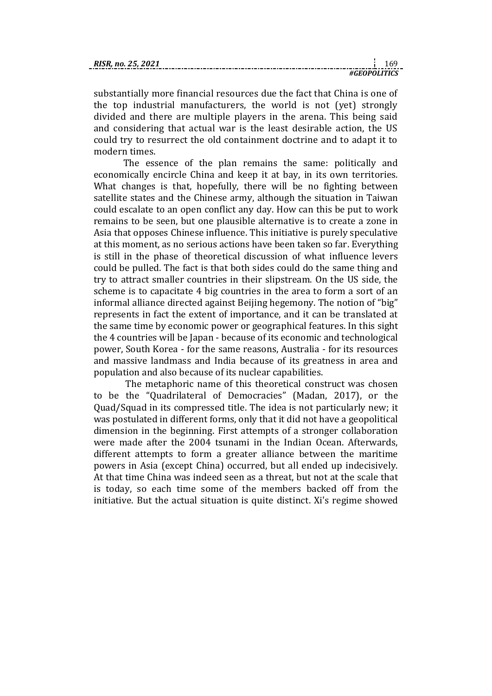| RISR. no. 25, 2021 |  |  |
|--------------------|--|--|
|                    |  |  |

substantially more financial resources due the fact that China is one of the top industrial manufacturers, the world is not (yet) strongly divided and there are multiple players in the arena. This being said and considering that actual war is the least desirable action, the US could try to resurrect the old containment doctrine and to adapt it to modern times.

The essence of the plan remains the same: politically and economically encircle China and keep it at bay, in its own territories. What changes is that, hopefully, there will be no fighting between satellite states and the Chinese army, although the situation in Taiwan could escalate to an open conflict any day. How can this be put to work remains to be seen, but one plausible alternative is to create a zone in Asia that opposes Chinese influence. This initiative is purely speculative at this moment, as no serious actions have been taken so far. Everything is still in the phase of theoretical discussion of what influence levers could be pulled. The fact is that both sides could do the same thing and try to attract smaller countries in their slipstream. On the US side, the scheme is to capacitate 4 big countries in the area to form a sort of an informal alliance directed against Beijing hegemony. The notion of "big" represents in fact the extent of importance, and it can be translated at the same time by economic power or geographical features. In this sight the 4 countries will be Japan - because of its economic and technological power, South Korea - for the same reasons, Australia - for its resources and massive landmass and India because of its greatness in area and population and also because of its nuclear capabilities.

The metaphoric name of this theoretical construct was chosen to be the "Quadrilateral of Democracies" (Madan, 2017), or the Quad/Squad in its compressed title. The idea is not particularly new; it was postulated in different forms, only that it did not have a geopolitical dimension in the beginning. First attempts of a stronger collaboration were made after the 2004 tsunami in the Indian Ocean. Afterwards, different attempts to form a greater alliance between the maritime powers in Asia (except China) occurred, but all ended up indecisively. At that time China was indeed seen as a threat, but not at the scale that is today, so each time some of the members backed off from the initiative. But the actual situation is quite distinct. Xi's regime showed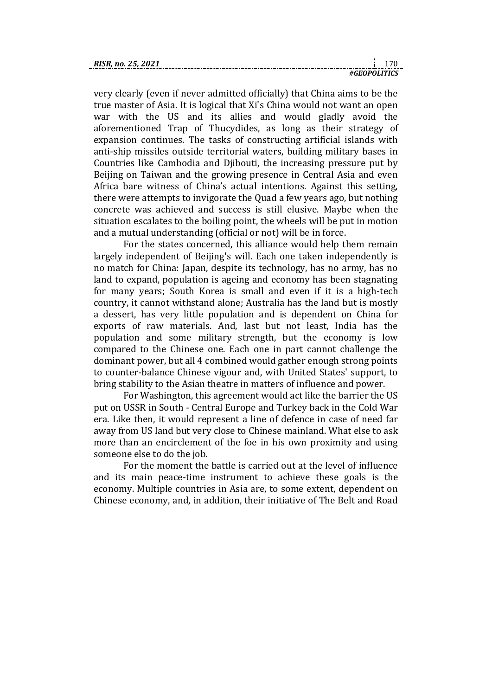very clearly (even if never admitted officially) that China aims to be the true master of Asia. It is logical that Xi's China would not want an open war with the US and its allies and would gladly avoid the aforementioned Trap of Thucydides, as long as their strategy of expansion continues. The tasks of constructing artificial islands with anti-ship missiles outside territorial waters, building military bases in Countries like Cambodia and Djibouti, the increasing pressure put by Beijing on Taiwan and the growing presence in Central Asia and even Africa bare witness of China's actual intentions. Against this setting, there were attempts to invigorate the Quad a few years ago, but nothing concrete was achieved and success is still elusive. Maybe when the situation escalates to the boiling point, the wheels will be put in motion and a mutual understanding (official or not) will be in force.

For the states concerned, this alliance would help them remain largely independent of Beijing's will. Each one taken independently is no match for China: Japan, despite its technology, has no army, has no land to expand, population is ageing and economy has been stagnating for many years; South Korea is small and even if it is a high-tech country, it cannot withstand alone; Australia has the land but is mostly a dessert, has very little population and is dependent on China for exports of raw materials. And, last but not least, India has the population and some military strength, but the economy is low compared to the Chinese one. Each one in part cannot challenge the dominant power, but all 4 combined would gather enough strong points to counter-balance Chinese vigour and, with United States' support, to bring stability to the Asian theatre in matters of influence and power.

For Washington, this agreement would act like the barrier the US put on USSR in South - Central Europe and Turkey back in the Cold War era. Like then, it would represent a line of defence in case of need far away from US land but very close to Chinese mainland. What else to ask more than an encirclement of the foe in his own proximity and using someone else to do the job.

For the moment the battle is carried out at the level of influence and its main peace-time instrument to achieve these goals is the economy. Multiple countries in Asia are, to some extent, dependent on Chinese economy, and, in addition, their initiative of The Belt and Road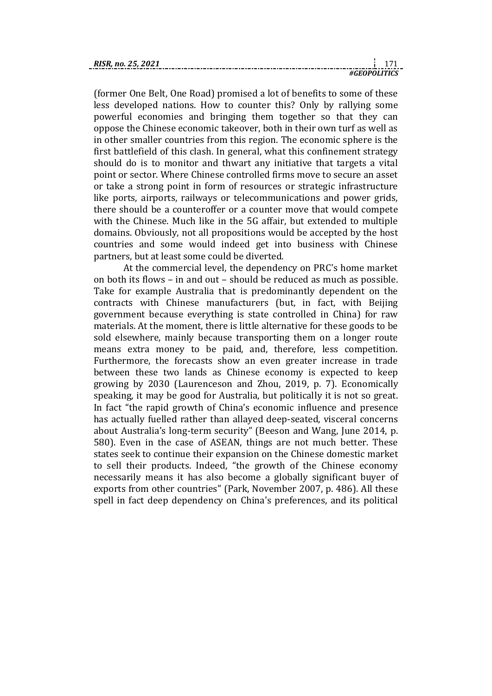(former One Belt, One Road) promised a lot of benefits to some of these less developed nations. How to counter this? Only by rallying some powerful economies and bringing them together so that they can oppose the Chinese economic takeover, both in their own turf as well as in other smaller countries from this region. The economic sphere is the first battlefield of this clash. In general, what this confinement strategy should do is to monitor and thwart any initiative that targets a vital point or sector. Where Chinese controlled firms move to secure an asset or take a strong point in form of resources or strategic infrastructure like ports, airports, railways or telecommunications and power grids, there should be a counteroffer or a counter move that would compete with the Chinese. Much like in the 5G affair, but extended to multiple domains. Obviously, not all propositions would be accepted by the host countries and some would indeed get into business with Chinese partners, but at least some could be diverted.

At the commercial level, the dependency on PRC's home market on both its flows – in and out – should be reduced as much as possible. Take for example Australia that is predominantly dependent on the contracts with Chinese manufacturers (but, in fact, with Beijing government because everything is state controlled in China) for raw materials. At the moment, there is little alternative for these goods to be sold elsewhere, mainly because transporting them on a longer route means extra money to be paid, and, therefore, less competition. Furthermore, the forecasts show an even greater increase in trade between these two lands as Chinese economy is expected to keep growing by 2030 (Laurenceson and Zhou, 2019, p. 7). Economically speaking, it may be good for Australia, but politically it is not so great. In fact "the rapid growth of China's economic influence and presence has actually fuelled rather than allayed deep-seated, visceral concerns about Australia's long-term security" (Beeson and Wang, June 2014, p. 580). Even in the case of ASEAN, things are not much better. These states seek to continue their expansion on the Chinese domestic market to sell their products. Indeed, "the growth of the Chinese economy necessarily means it has also become a globally significant buyer of exports from other countries" (Park, November 2007, p. 486). All these spell in fact deep dependency on China's preferences, and its political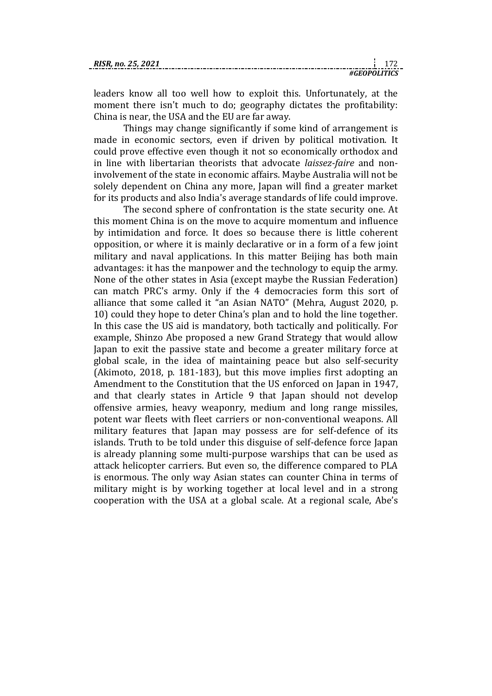| RISR. no.<br><i>L</i> .J. |  |  |
|---------------------------|--|--|
|                           |  |  |

leaders know all too well how to exploit this. Unfortunately, at the moment there isn't much to do; geography dictates the profitability: China is near, the USA and the EU are far away.

Things may change significantly if some kind of arrangement is made in economic sectors, even if driven by political motivation. It could prove effective even though it not so economically orthodox and in line with libertarian theorists that advocate *laissez-faire* and noninvolvement of the state in economic affairs. Maybe Australia will not be solely dependent on China any more, Japan will find a greater market for its products and also India's average standards of life could improve.

The second sphere of confrontation is the state security one. At this moment China is on the move to acquire momentum and influence by intimidation and force. It does so because there is little coherent opposition, or where it is mainly declarative or in a form of a few joint military and naval applications. In this matter Beijing has both main advantages: it has the manpower and the technology to equip the army. None of the other states in Asia (except maybe the Russian Federation) can match PRC's army. Only if the 4 democracies form this sort of alliance that some called it "an Asian NATO" (Mehra, August 2020, p. 10) could they hope to deter China's plan and to hold the line together. In this case the US aid is mandatory, both tactically and politically. For example, Shinzo Abe proposed a new Grand Strategy that would allow Japan to exit the passive state and become a greater military force at global scale, in the idea of maintaining peace but also self-security (Akimoto, 2018, p. 181-183), but this move implies first adopting an Amendment to the Constitution that the US enforced on Japan in 1947, and that clearly states in Article 9 that Japan should not develop offensive armies, heavy weaponry, medium and long range missiles, potent war fleets with fleet carriers or non-conventional weapons. All military features that Japan may possess are for self-defence of its islands. Truth to be told under this disguise of self-defence force Japan is already planning some multi-purpose warships that can be used as attack helicopter carriers. But even so, the difference compared to PLA is enormous. The only way Asian states can counter China in terms of military might is by working together at local level and in a strong cooperation with the USA at a global scale. At a regional scale, Abe's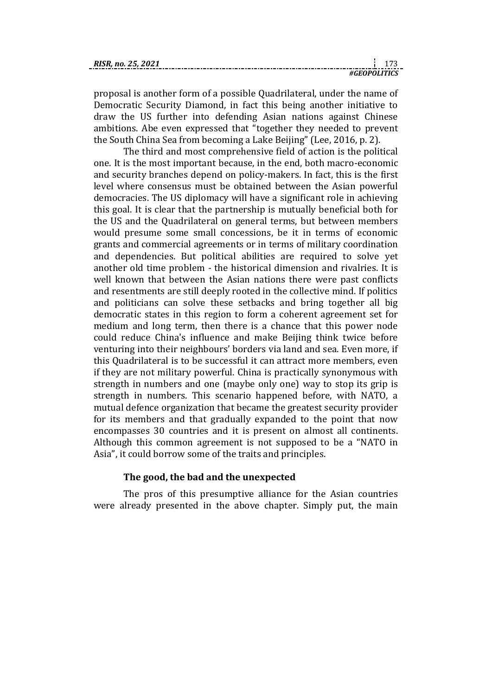| RISR. no. 25, 2021 |  |  |
|--------------------|--|--|
|                    |  |  |

proposal is another form of a possible Quadrilateral, under the name of Democratic Security Diamond, in fact this being another initiative to draw the US further into defending Asian nations against Chinese ambitions. Abe even expressed that "together they needed to prevent the South China Sea from becoming a Lake Beijing" (Lee, 2016, p. 2).

The third and most comprehensive field of action is the political one. It is the most important because, in the end, both macro-economic and security branches depend on policy-makers. In fact, this is the first level where consensus must be obtained between the Asian powerful democracies. The US diplomacy will have a significant role in achieving this goal. It is clear that the partnership is mutually beneficial both for the US and the Quadrilateral on general terms, but between members would presume some small concessions, be it in terms of economic grants and commercial agreements or in terms of military coordination and dependencies. But political abilities are required to solve yet another old time problem - the historical dimension and rivalries. It is well known that between the Asian nations there were past conflicts and resentments are still deeply rooted in the collective mind. If politics and politicians can solve these setbacks and bring together all big democratic states in this region to form a coherent agreement set for medium and long term, then there is a chance that this power node could reduce China's influence and make Beijing think twice before venturing into their neighbours' borders via land and sea. Even more, if this Quadrilateral is to be successful it can attract more members, even if they are not military powerful. China is practically synonymous with strength in numbers and one (maybe only one) way to stop its grip is strength in numbers. This scenario happened before, with NATO, a mutual defence organization that became the greatest security provider for its members and that gradually expanded to the point that now encompasses 30 countries and it is present on almost all continents. Although this common agreement is not supposed to be a "NATO in Asia", it could borrow some of the traits and principles.

# **The good, the bad and the unexpected**

The pros of this presumptive alliance for the Asian countries were already presented in the above chapter. Simply put, the main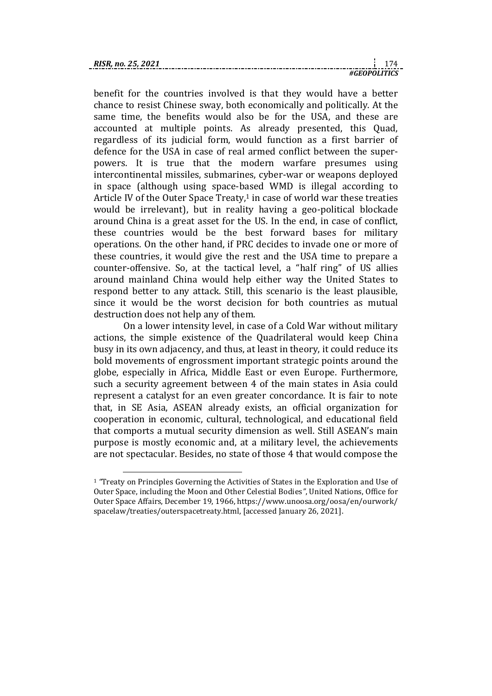1

*#GEOPOLITICS*

benefit for the countries involved is that they would have a better chance to resist Chinese sway, both economically and politically. At the same time, the benefits would also be for the USA, and these are accounted at multiple points. As already presented, this Quad, regardless of its judicial form, would function as a first barrier of defence for the USA in case of real armed conflict between the superpowers. It is true that the modern warfare presumes using intercontinental missiles, submarines, cyber-war or weapons deployed in space (although using space-based WMD is illegal according to Article IV of the Outer Space Treaty, $1$  in case of world war these treaties would be irrelevant), but in reality having a geo-political blockade around China is a great asset for the US. In the end, in case of conflict, these countries would be the best forward bases for military operations. On the other hand, if PRC decides to invade one or more of these countries, it would give the rest and the USA time to prepare a counter-offensive. So, at the tactical level, a "half ring" of US allies around mainland China would help either way the United States to respond better to any attack. Still, this scenario is the least plausible, since it would be the worst decision for both countries as mutual destruction does not help any of them.

On a lower intensity level, in case of a Cold War without military actions, the simple existence of the Quadrilateral would keep China busy in its own adjacency, and thus, at least in theory, it could reduce its bold movements of engrossment important strategic points around the globe, especially in Africa, Middle East or even Europe. Furthermore, such a security agreement between 4 of the main states in Asia could represent a catalyst for an even greater concordance. It is fair to note that, in SE Asia, ASEAN already exists, an official organization for cooperation in economic, cultural, technological, and educational field that comports a mutual security dimension as well. Still ASEAN's main purpose is mostly economic and, at a military level, the achievements are not spectacular. Besides, no state of those 4 that would compose the

<sup>1</sup> *"*Treaty on Principles Governing the Activities of States in the Exploration and Use of Outer Space, including the Moon and Other Celestial Bodies*"*, United Nations, Office for Outer Space Affairs, December 19, 1966, https://www.unoosa.org/oosa/en/ourwork/ spacelaw/treaties/outerspacetreaty.html, [accessed January 26, 2021].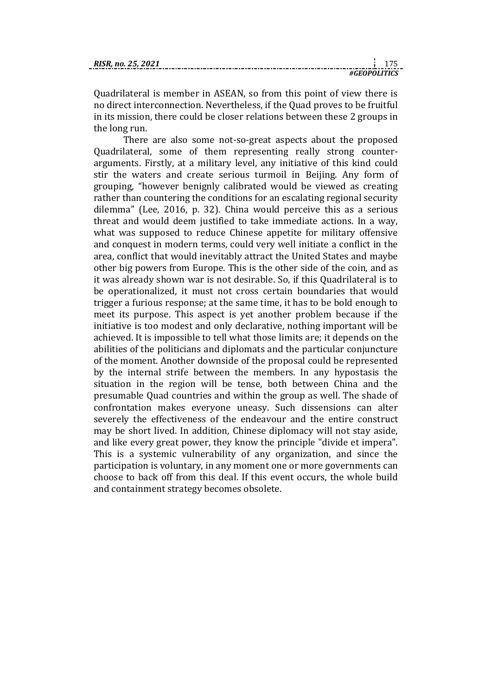| RISR. no. 25, 2021 |  |  |
|--------------------|--|--|
|                    |  |  |

Quadrilateral is member in ASEAN, so from this point of view there is no direct interconnection. Nevertheless, if the Quad proves to be fruitful in its mission, there could be closer relations between these 2 groups in the long run.

There are also some not-so-great aspects about the proposed Quadrilateral, some of them representing really strong counterarguments. Firstly, at a military level, any initiative of this kind could stir the waters and create serious turmoil in Beijing. Any form of grouping, "however benignly calibrated would be viewed as creating rather than countering the conditions for an escalating regional security dilemma" (Lee, 2016, p. 32). China would perceive this as a serious threat and would deem justified to take immediate actions. In a way, what was supposed to reduce Chinese appetite for military offensive and conquest in modern terms, could very well initiate a conflict in the area, conflict that would inevitably attract the United States and maybe other big powers from Europe. This is the other side of the coin, and as it was already shown war is not desirable. So, if this Quadrilateral is to be operationalized, it must not cross certain boundaries that would trigger a furious response; at the same time, it has to be bold enough to meet its purpose. This aspect is yet another problem because if the initiative is too modest and only declarative, nothing important will be achieved. It is impossible to tell what those limits are; it depends on the abilities of the politicians and diplomats and the particular conjuncture of the moment. Another downside of the proposal could be represented by the internal strife between the members. In any hypostasis the situation in the region will be tense, both between China and the presumable Quad countries and within the group as well. The shade of confrontation makes everyone uneasy. Such dissensions can alter severely the effectiveness of the endeavour and the entire construct may be short lived. In addition, Chinese diplomacy will not stay aside, and like every great power, they know the principle "divide et impera". This is a systemic vulnerability of any organization, and since the participation is voluntary, in any moment one or more governments can choose to back off from this deal. If this event occurs, the whole build and containment strategy becomes obsolete.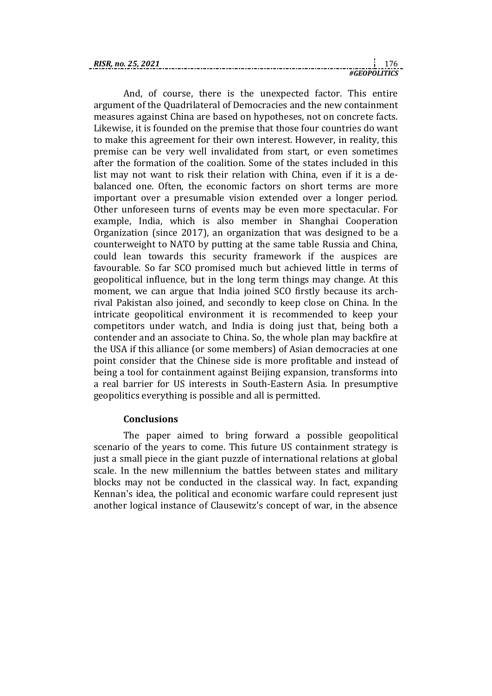| <b>RISR.</b> no. 25. 2021 |             |  |
|---------------------------|-------------|--|
|                           | GEOPOLITICS |  |

And, of course, there is the unexpected factor. This entire argument of the Quadrilateral of Democracies and the new containment measures against China are based on hypotheses, not on concrete facts. Likewise, it is founded on the premise that those four countries do want to make this agreement for their own interest. However, in reality, this premise can be very well invalidated from start, or even sometimes after the formation of the coalition. Some of the states included in this list may not want to risk their relation with China, even if it is a debalanced one. Often, the economic factors on short terms are more important over a presumable vision extended over a longer period. Other unforeseen turns of events may be even more spectacular. For example, India, which is also member in Shanghai Cooperation Organization (since 2017), an organization that was designed to be a counterweight to NATO by putting at the same table Russia and China, could lean towards this security framework if the auspices are favourable. So far SCO promised much but achieved little in terms of geopolitical influence, but in the long term things may change. At this moment, we can argue that India joined SCO firstly because its archrival Pakistan also joined, and secondly to keep close on China. In the intricate geopolitical environment it is recommended to keep your competitors under watch, and India is doing just that, being both a contender and an associate to China. So, the whole plan may backfire at the USA if this alliance (or some members) of Asian democracies at one point consider that the Chinese side is more profitable and instead of being a tool for containment against Beijing expansion, transforms into a real barrier for US interests in South-Eastern Asia. In presumptive geopolitics everything is possible and all is permitted.

## **Conclusions**

The paper aimed to bring forward a possible geopolitical scenario of the years to come. This future US containment strategy is just a small piece in the giant puzzle of international relations at global scale. In the new millennium the battles between states and military blocks may not be conducted in the classical way. In fact, expanding Kennan's idea, the political and economic warfare could represent just another logical instance of Clausewitz's concept of war, in the absence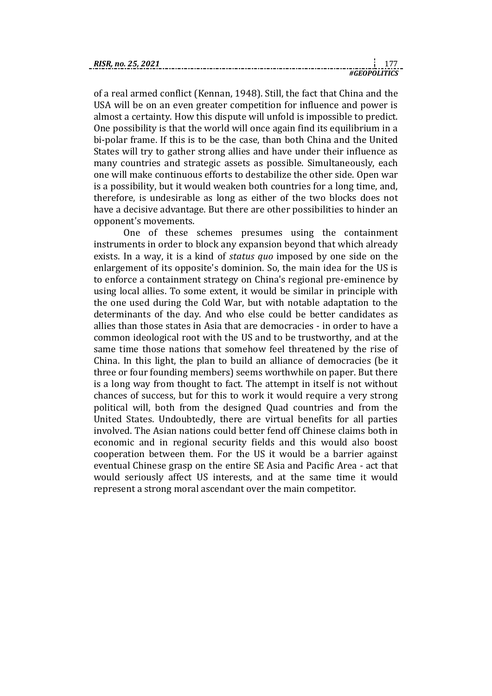| <b>RISR.</b> no. 25. |  |  |
|----------------------|--|--|
|                      |  |  |

of a real armed conflict (Kennan, 1948). Still, the fact that China and the USA will be on an even greater competition for influence and power is almost a certainty. How this dispute will unfold is impossible to predict. One possibility is that the world will once again find its equilibrium in a bi-polar frame. If this is to be the case, than both China and the United States will try to gather strong allies and have under their influence as many countries and strategic assets as possible. Simultaneously, each one will make continuous efforts to destabilize the other side. Open war is a possibility, but it would weaken both countries for a long time, and, therefore, is undesirable as long as either of the two blocks does not have a decisive advantage. But there are other possibilities to hinder an opponent's movements.

One of these schemes presumes using the containment instruments in order to block any expansion beyond that which already exists. In a way, it is a kind of *status quo* imposed by one side on the enlargement of its opposite's dominion. So, the main idea for the US is to enforce a containment strategy on China's regional pre-eminence by using local allies. To some extent, it would be similar in principle with the one used during the Cold War, but with notable adaptation to the determinants of the day. And who else could be better candidates as allies than those states in Asia that are democracies - in order to have a common ideological root with the US and to be trustworthy, and at the same time those nations that somehow feel threatened by the rise of China. In this light, the plan to build an alliance of democracies (be it three or four founding members) seems worthwhile on paper. But there is a long way from thought to fact. The attempt in itself is not without chances of success, but for this to work it would require a very strong political will, both from the designed Quad countries and from the United States. Undoubtedly, there are virtual benefits for all parties involved. The Asian nations could better fend off Chinese claims both in economic and in regional security fields and this would also boost cooperation between them. For the US it would be a barrier against eventual Chinese grasp on the entire SE Asia and Pacific Area - act that would seriously affect US interests, and at the same time it would represent a strong moral ascendant over the main competitor.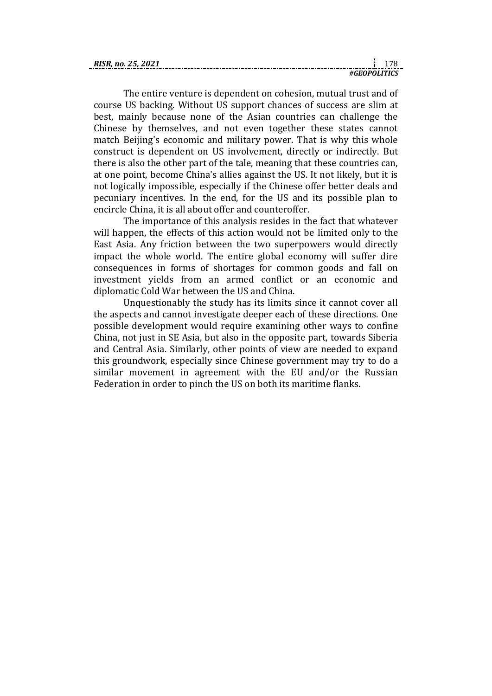| RISR. no. 25. 2021 |              |  |
|--------------------|--------------|--|
|                    | #GEOPOLITICS |  |

The entire venture is dependent on cohesion, mutual trust and of course US backing. Without US support chances of success are slim at best, mainly because none of the Asian countries can challenge the Chinese by themselves, and not even together these states cannot match Beijing's economic and military power. That is why this whole construct is dependent on US involvement, directly or indirectly. But there is also the other part of the tale, meaning that these countries can, at one point, become China's allies against the US. It not likely, but it is not logically impossible, especially if the Chinese offer better deals and pecuniary incentives. In the end, for the US and its possible plan to encircle China, it is all about offer and counteroffer.

The importance of this analysis resides in the fact that whatever will happen, the effects of this action would not be limited only to the East Asia. Any friction between the two superpowers would directly impact the whole world. The entire global economy will suffer dire consequences in forms of shortages for common goods and fall on investment yields from an armed conflict or an economic and diplomatic Cold War between the US and China.

Unquestionably the study has its limits since it cannot cover all the aspects and cannot investigate deeper each of these directions. One possible development would require examining other ways to confine China, not just in SE Asia, but also in the opposite part, towards Siberia and Central Asia. Similarly, other points of view are needed to expand this groundwork, especially since Chinese government may try to do a similar movement in agreement with the EU and/or the Russian Federation in order to pinch the US on both its maritime flanks.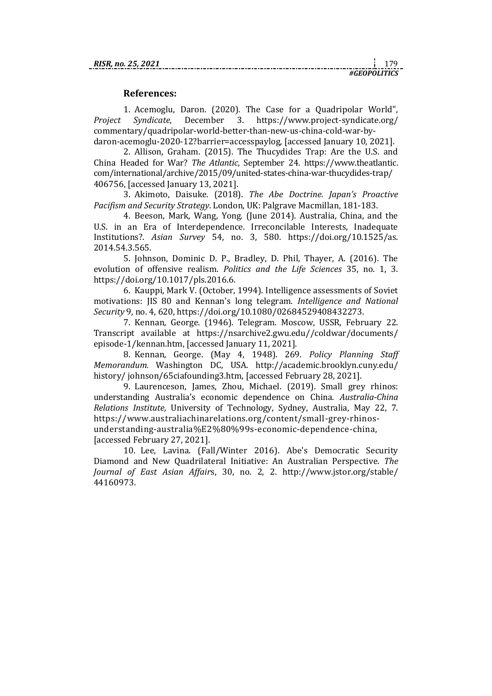## **References:**

1. Acemoglu, Daron. (2020). The Case for a Quadripolar World", *Project Syndicate*, December 3. https://www.project-syndicate.org/ commentary/quadripolar-world-better-than-new-us-china-cold-war-bydaron-acemoglu-2020-12?barrier=accesspaylog, [accessed January 10, 2021].

2. Allison, Graham. (2015). The Thucydides Trap: Are the U.S. and China Headed for War? *The Atlantic*, September 24. https://www.theatlantic. com/international/archive/2015/09/united-states-china-war-thucydides-trap/ 406756, [accessed January 13, 2021].

3. Akimoto, Daisuke*.* (2018). *The Abe Doctrine. Japan's Proactive Pacifism and Security Strategy*. London, UK: Palgrave Macmillan, 181-183.

4. Beeson, Mark, Wang, Yong. (June 2014). Australia, China, and the U.S. in an Era of Interdependence. Irreconcilable Interests, Inadequate Institutions?. *Asian Survey* 54, no. 3, 580. [https://doi.org/10.1525/as.](https://doi.org/10.1525/as.2014.54.3.565)  [2014.54.3.565.](https://doi.org/10.1525/as.2014.54.3.565)

5. Johnson, Dominic D. P., Bradley, D. Phil, Thayer, A. (2016). The evolution of offensive realism. *Politics and the Life Sciences* 35, no. 1, 3. [https://doi.org/10.1017/pls.2016.6.](https://doi.org/10.1017/pls.2016.6)

6. Kauppi, Mark V. (October, 1994). Intelligence assessments of Soviet motivations: JIS 80 and Kennan's long telegram. *Intelligence and National Security* 9, no. 4, 620[, https://doi.org/10.1080/02684529408432273.](https://doi.org/10.1080/02684529408432273)

7. Kennan, George. (1946). Telegram. Moscow, USSR, February 22. Transcript available at https://nsarchive2.gwu.edu//coldwar/documents/ episode-1/kennan.htm, [accessed January 11, 2021].

8. Kennan, George. (May 4, 1948). 269. *Policy Planning Staff Memorandum.* Washington DC, USA. http://academic.brooklyn.cuny.edu/ history/ johnson/65ciafounding3.htm, [accessed February 28, 2021].

9. Laurenceson, James, Zhou, Michael. (2019). Small grey rhinos: understanding Australia's economic dependence on China. *Australia-China Relations Institute*, University of Technology, Sydney, Australia, May 22, 7. https://www.australiachinarelations.org/content/small-grey-rhinosunderstanding-australia%E2%80%99s-economic-dependence-china, [accessed February 27, 2021].

10. Lee, Lavina. (Fall/Winter 2016). Abe's Democratic Security Diamond and New Quadrilateral Initiative: An Australian Perspective. *The Journal of East Asian Affair*s, 30, no. 2, 2. [http://www.jstor.org/stable/](http://www.jstor.org/stable/44160973)  [44160973.](http://www.jstor.org/stable/44160973)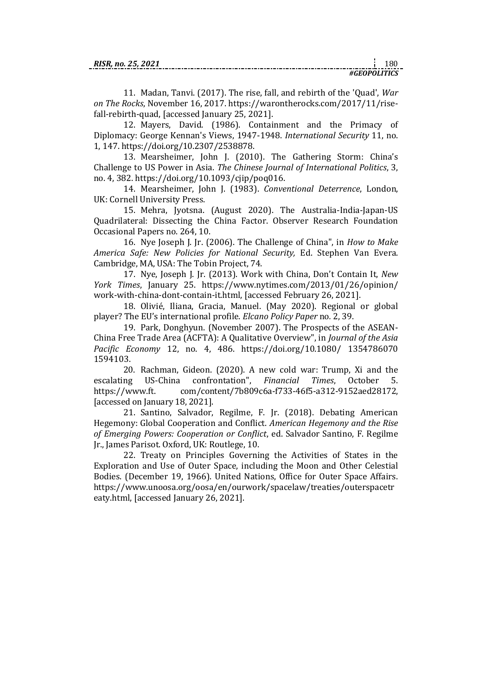11. Madan, Tanvi. (2017). The rise, fall, and rebirth of the 'Quad', *War on The Rocks*, November 16, 2017. https://warontherocks.com/2017/11/risefall-rebirth-quad, [accessed January 25, 2021].

12. Mayers, David. (1986). Containment and the Primacy of Diplomacy: George Kennan's Views, 1947-1948. *International Security* 11, no. 1, 147. [https://doi.org/10.2307/2538878.](https://doi.org/10.2307/2538878)

13. Mearsheimer, John J. (2010). The Gathering Storm: China's Challenge to US Power in Asia. *The Chinese Journal of International Politics*, 3, no. 4, 382. [https://doi.org/10.1093/cjip/poq016.](https://doi.org/10.1093/cjip/poq016)

14. Mearsheimer, John J. (1983). *Conventional Deterrence*, London, UK: Cornell University Press.

15. Mehra, Jyotsna. (August 2020). The Australia-India-Japan-US Quadrilateral: Dissecting the China Factor. Observer Research Foundation Occasional Papers no. 264, 10.

16. Nye Joseph J. Jr. (2006). The Challenge of China", in *How to Make America Safe: New Policies for National Security,* Ed. Stephen Van Evera. Cambridge, MA, USA: The Tobin Project, 74.

17. Nye, Joseph J. Jr. (2013). Work with China, Don't Contain It, *New York Times*, January 25. https://www.nytimes.com/2013/01/26/opinion/ work-with-china-dont-contain-it.html, [accessed February 26, 2021].

18. Olivié, Iliana, Gracia, Manuel. (May 2020). Regional or global player? The EU's international profile. *Elcano Policy Paper* no*.* 2, 39.

19. Park, Donghyun. (November 2007). The Prospects of the ASEAN-China Free Trade Area (ACFTA): A Qualitative Overview", in *Journal of the Asia Pacific Economy* 12, no. 4, 486. [https://doi.org/10.1080/ 1354786070](https://doi.org/10.1080/13547860701594103) [1594103.](https://doi.org/10.1080/13547860701594103)

20. Rachman, Gideon. (2020). A new cold war: Trump, Xi and the escalating US-China confrontation", *Financial Times*, October 5. https://www.ft. com/content/7b809c6a-f733-46f5-a312-9152aed28172, [accessed on January 18, 2021].

21. Santino, Salvador, Regilme, F. Jr. (2018). Debating American Hegemony: Global Cooperation and Conflict. *American Hegemony and the Rise of Emerging Powers: Cooperation or Conflict*, ed. Salvador Santino, F. Regilme Jr., James Parisot. Oxford, UK: Routlege, 10.

22. Treaty on Principles Governing the Activities of States in the Exploration and Use of Outer Space, including the Moon and Other Celestial Bodies. (December 19, 1966). United Nations, Office for Outer Space Affairs. https://www.unoosa.org/oosa/en/ourwork/spacelaw/treaties/outerspacetr eaty.html, [accessed January 26, 2021].